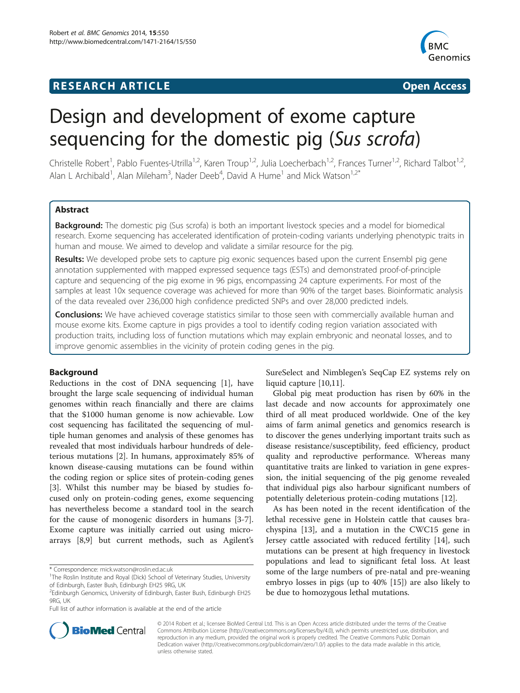# **RESEARCH ARTICLE Example 2014 CONSIDERING A RESEARCH ARTICLE**



# Design and development of exome capture sequencing for the domestic pig (Sus scrofa)

Christelle Robert<sup>1</sup>, Pablo Fuentes-Utrilla<sup>1,2</sup>, Karen Troup<sup>1,2</sup>, Julia Loecherbach<sup>1,2</sup>, Frances Turner<sup>1,2</sup>, Richard Talbot<sup>1,2</sup>, Alan L Archibald<sup>1</sup>, Alan Mileham<sup>3</sup>, Nader Deeb<sup>4</sup>, David A Hume<sup>1</sup> and Mick Watson<sup>1,2\*</sup>

# Abstract

Background: The domestic pig (Sus scrofa) is both an important livestock species and a model for biomedical research. Exome sequencing has accelerated identification of protein-coding variants underlying phenotypic traits in human and mouse. We aimed to develop and validate a similar resource for the pig.

Results: We developed probe sets to capture pig exonic sequences based upon the current Ensembl pig gene annotation supplemented with mapped expressed sequence tags (ESTs) and demonstrated proof-of-principle capture and sequencing of the pig exome in 96 pigs, encompassing 24 capture experiments. For most of the samples at least 10x sequence coverage was achieved for more than 90% of the target bases. Bioinformatic analysis of the data revealed over 236,000 high confidence predicted SNPs and over 28,000 predicted indels.

Conclusions: We have achieved coverage statistics similar to those seen with commercially available human and mouse exome kits. Exome capture in pigs provides a tool to identify coding region variation associated with production traits, including loss of function mutations which may explain embryonic and neonatal losses, and to improve genomic assemblies in the vicinity of protein coding genes in the pig.

# Background

Reductions in the cost of DNA sequencing [\[1](#page-7-0)], have brought the large scale sequencing of individual human genomes within reach financially and there are claims that the \$1000 human genome is now achievable. Low cost sequencing has facilitated the sequencing of multiple human genomes and analysis of these genomes has revealed that most individuals harbour hundreds of deleterious mutations [\[2](#page-7-0)]. In humans, approximately 85% of known disease-causing mutations can be found within the coding region or splice sites of protein-coding genes [[3\]](#page-7-0). Whilst this number may be biased by studies focused only on protein-coding genes, exome sequencing has nevertheless become a standard tool in the search for the cause of monogenic disorders in humans [[3-7](#page-7-0)]. Exome capture was initially carried out using microarrays [\[8](#page-7-0)[,9](#page-8-0)] but current methods, such as Agilent's

\* Correspondence: [mick.watson@roslin.ed.ac.uk](mailto:mick.watson@roslin.ed.ac.uk) <sup>1</sup>

Full list of author information is available at the end of the article

SureSelect and Nimblegen's SeqCap EZ systems rely on liquid capture [[10,11\]](#page-8-0).

Global pig meat production has risen by 60% in the last decade and now accounts for approximately one third of all meat produced worldwide. One of the key aims of farm animal genetics and genomics research is to discover the genes underlying important traits such as disease resistance/susceptibility, feed efficiency, product quality and reproductive performance. Whereas many quantitative traits are linked to variation in gene expression, the initial sequencing of the pig genome revealed that individual pigs also harbour significant numbers of potentially deleterious protein-coding mutations [[12\]](#page-8-0).

As has been noted in the recent identification of the lethal recessive gene in Holstein cattle that causes brachyspina [\[13\]](#page-8-0), and a mutation in the CWC15 gene in Jersey cattle associated with reduced fertility [\[14](#page-8-0)], such mutations can be present at high frequency in livestock populations and lead to significant fetal loss. At least some of the large numbers of pre-natal and pre-weaning embryo losses in pigs (up to 40% [\[15\]](#page-8-0)) are also likely to be due to homozygous lethal mutations.



© 2014 Robert et al.; licensee BioMed Central Ltd. This is an Open Access article distributed under the terms of the Creative Commons Attribution License [\(http://creativecommons.org/licenses/by/4.0\)](http://creativecommons.org/licenses/by/4.0), which permits unrestricted use, distribution, and reproduction in any medium, provided the original work is properly credited. The Creative Commons Public Domain Dedication waiver [\(http://creativecommons.org/publicdomain/zero/1.0/](http://creativecommons.org/publicdomain/zero/1.0/)) applies to the data made available in this article, unless otherwise stated.

<sup>&</sup>lt;sup>1</sup>The Roslin Institute and Royal (Dick) School of Veterinary Studies, University of Edinburgh, Easter Bush, Edinburgh EH25 9RG, UK

<sup>2</sup> Edinburgh Genomics, University of Edinburgh, Easter Bush, Edinburgh EH25 9RG, UK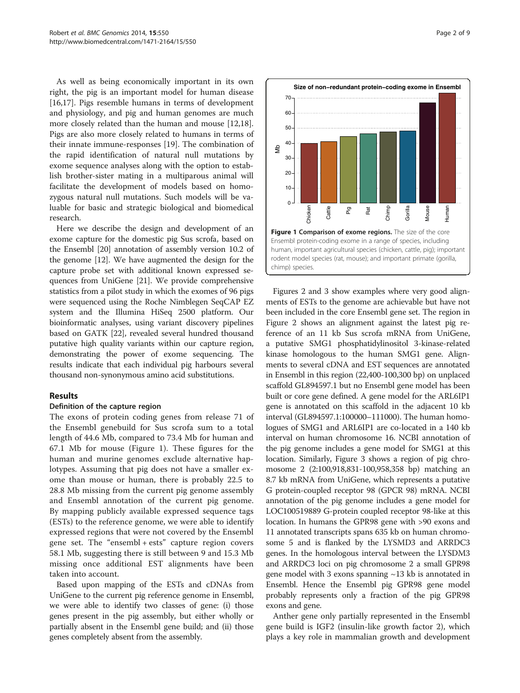As well as being economically important in its own right, the pig is an important model for human disease [[16,17\]](#page-8-0). Pigs resemble humans in terms of development and physiology, and pig and human genomes are much more closely related than the human and mouse [\[12,18](#page-8-0)]. Pigs are also more closely related to humans in terms of their innate immune-responses [[19](#page-8-0)]. The combination of the rapid identification of natural null mutations by exome sequence analyses along with the option to establish brother-sister mating in a multiparous animal will facilitate the development of models based on homozygous natural null mutations. Such models will be valuable for basic and strategic biological and biomedical research.

Here we describe the design and development of an exome capture for the domestic pig Sus scrofa, based on the Ensembl [\[20](#page-8-0)] annotation of assembly version 10.2 of the genome [\[12\]](#page-8-0). We have augmented the design for the capture probe set with additional known expressed sequences from UniGene [\[21](#page-8-0)]. We provide comprehensive statistics from a pilot study in which the exomes of 96 pigs were sequenced using the Roche Nimblegen SeqCAP EZ system and the Illumina HiSeq 2500 platform. Our bioinformatic analyses, using variant discovery pipelines based on GATK [\[22\]](#page-8-0), revealed several hundred thousand putative high quality variants within our capture region, demonstrating the power of exome sequencing. The results indicate that each individual pig harbours several thousand non-synonymous amino acid substitutions.

# Results

# Definition of the capture region

The exons of protein coding genes from release 71 of the Ensembl genebuild for Sus scrofa sum to a total length of 44.6 Mb, compared to 73.4 Mb for human and 67.1 Mb for mouse (Figure 1). These figures for the human and murine genomes exclude alternative haplotypes. Assuming that pig does not have a smaller exome than mouse or human, there is probably 22.5 to 28.8 Mb missing from the current pig genome assembly and Ensembl annotation of the current pig genome. By mapping publicly available expressed sequence tags (ESTs) to the reference genome, we were able to identify expressed regions that were not covered by the Ensembl gene set. The "ensembl + ests" capture region covers 58.1 Mb, suggesting there is still between 9 and 15.3 Mb missing once additional EST alignments have been taken into account.

Based upon mapping of the ESTs and cDNAs from UniGene to the current pig reference genome in Ensembl, we were able to identify two classes of gene: (i) those genes present in the pig assembly, but either wholly or partially absent in the Ensembl gene build; and (ii) those genes completely absent from the assembly.



Figures [2](#page-2-0) and [3](#page-2-0) show examples where very good alignments of ESTs to the genome are achievable but have not been included in the core Ensembl gene set. The region in Figure [2](#page-2-0) shows an alignment against the latest pig reference of an 11 kb Sus scrofa mRNA from UniGene, a putative SMG1 phosphatidylinositol 3-kinase-related kinase homologous to the human SMG1 gene. Alignments to several cDNA and EST sequences are annotated in Ensembl in this region (22,400-100,300 bp) on unplaced scaffold GL894597.1 but no Ensembl gene model has been built or core gene defined. A gene model for the ARL6IP1 gene is annotated on this scaffold in the adjacent 10 kb interval (GL894597.1:100000–111000). The human homologues of SMG1 and ARL6IP1 are co-located in a 140 kb interval on human chromosome 16. NCBI annotation of the pig genome includes a gene model for SMG1 at this location. Similarly, Figure [3](#page-2-0) shows a region of pig chromosome 2 (2:100,918,831-100,958,358 bp) matching an 8.7 kb mRNA from UniGene, which represents a putative G protein-coupled receptor 98 (GPCR 98) mRNA. NCBI annotation of the pig genome includes a gene model for LOC100519889 G-protein coupled receptor 98-like at this location. In humans the GPR98 gene with >90 exons and 11 annotated transcripts spans 635 kb on human chromosome 5 and is flanked by the LYSMD3 and ARRDC3 genes. In the homologous interval between the LYSDM3 and ARRDC3 loci on pig chromosome 2 a small GPR98 gene model with 3 exons spanning  $\sim$ 13 kb is annotated in Ensembl. Hence the Ensembl pig GPR98 gene model probably represents only a fraction of the pig GPR98 exons and gene.

Anther gene only partially represented in the Ensembl gene build is IGF2 (insulin-like growth factor 2), which plays a key role in mammalian growth and development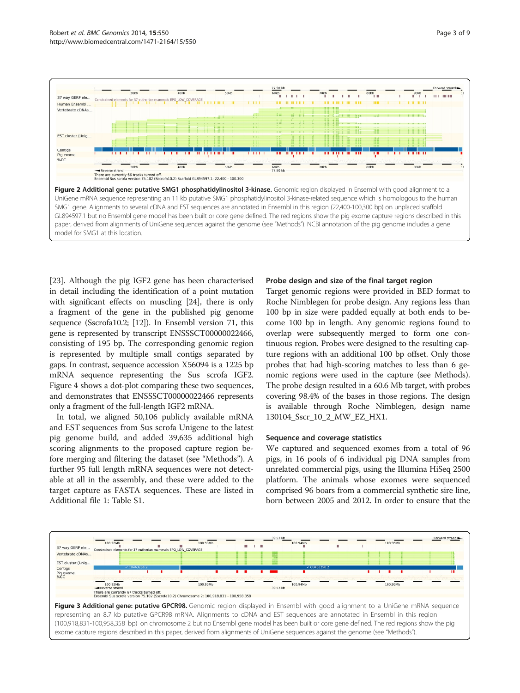<span id="page-2-0"></span>

[[23\]](#page-8-0). Although the pig IGF2 gene has been characterised in detail including the identification of a point mutation with significant effects on muscling [\[24\]](#page-8-0), there is only a fragment of the gene in the published pig genome sequence (Sscrofa10.2; [[12](#page-8-0)]). In Ensembl version 71, this gene is represented by transcript ENSSSCT00000022466, consisting of 195 bp. The corresponding genomic region is represented by multiple small contigs separated by gaps. In contrast, sequence accession X56094 is a 1225 bp mRNA sequence representing the Sus scrofa IGF2. Figure [4](#page-3-0) shows a dot-plot comparing these two sequences, and demonstrates that ENSSSCT00000022466 represents only a fragment of the full-length IGF2 mRNA.

In total, we aligned 50,106 publicly available mRNA and EST sequences from Sus scrofa Unigene to the latest pig genome build, and added 39,635 additional high scoring alignments to the proposed capture region before merging and filtering the dataset (see "[Methods](#page-5-0)"). A further 95 full length mRNA sequences were not detectable at all in the assembly, and these were added to the target capture as FASTA sequences. These are listed in Additional file [1:](#page-7-0) Table S1.

# Probe design and size of the final target region

Target genomic regions were provided in BED format to Roche Nimblegen for probe design. Any regions less than 100 bp in size were padded equally at both ends to become 100 bp in length. Any genomic regions found to overlap were subsequently merged to form one continuous region. Probes were designed to the resulting capture regions with an additional 100 bp offset. Only those probes that had high-scoring matches to less than 6 genomic regions were used in the capture (see [Methods](#page-5-0)). The probe design resulted in a 60.6 Mb target, with probes covering 98.4% of the bases in those regions. The design is available through Roche Nimblegen, design name 130104\_Sscr\_10\_2\_MW\_EZ\_HX1.

#### Sequence and coverage statistics

We captured and sequenced exomes from a total of 96 pigs, in 16 pools of 6 individual pig DNA samples from unrelated commercial pigs, using the Illumina HiSeq 2500 platform. The animals whose exomes were sequenced comprised 96 boars from a commercial synthetic sire line, born between 2005 and 2012. In order to ensure that the

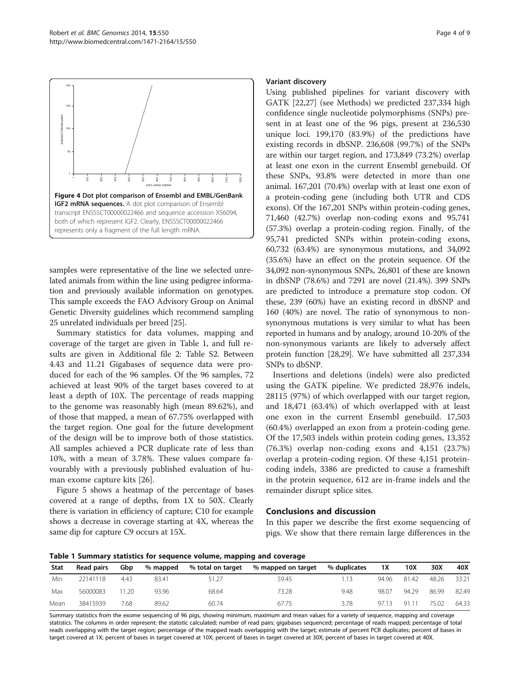<span id="page-3-0"></span>

samples were representative of the line we selected unrelated animals from within the line using pedigree information and previously available information on genotypes. This sample exceeds the FAO Advisory Group on Animal Genetic Diversity guidelines which recommend sampling 25 unrelated individuals per breed [[25](#page-8-0)].

Summary statistics for data volumes, mapping and coverage of the target are given in Table 1, and full results are given in Additional file [2:](#page-7-0) Table S2. Between 4.43 and 11.21 Gigabases of sequence data were produced for each of the 96 samples. Of the 96 samples, 72 achieved at least 90% of the target bases covered to at least a depth of 10X. The percentage of reads mapping to the genome was reasonably high (mean 89.62%), and of those that mapped, a mean of 67.75% overlapped with the target region. One goal for the future development of the design will be to improve both of those statistics. All samples achieved a PCR duplicate rate of less than 10%, with a mean of 3.78%. These values compare favourably with a previously published evaluation of human exome capture kits [[26\]](#page-8-0).

Figure [5](#page-4-0) shows a heatmap of the percentage of bases covered at a range of depths, from 1X to 50X. Clearly there is variation in efficiency of capture; C10 for example shows a decrease in coverage starting at 4X, whereas the same dip for capture C9 occurs at 15X.

#### Variant discovery

Using published pipelines for variant discovery with GATK [\[22,27\]](#page-8-0) (see [Methods](#page-5-0)) we predicted 237,334 high confidence single nucleotide polymorphisms (SNPs) present in at least one of the 96 pigs, present at 236,530 unique loci. 199,170 (83.9%) of the predictions have existing records in dbSNP. 236,608 (99.7%) of the SNPs are within our target region, and 173,849 (73.2%) overlap at least one exon in the current Ensembl genebuild. Of these SNPs, 93.8% were detected in more than one animal. 167,201 (70.4%) overlap with at least one exon of a protein-coding gene (including both UTR and CDS exons). Of the 167,201 SNPs within protein-coding genes, 71,460 (42.7%) overlap non-coding exons and 95,741 (57.3%) overlap a protein-coding region. Finally, of the 95,741 predicted SNPs within protein-coding exons, 60,732 (63.4%) are synonymous mutations, and 34,092 (35.6%) have an effect on the protein sequence. Of the 34,092 non-synonymous SNPs, 26,801 of these are known in dbSNP (78.6%) and 7291 are novel (21.4%). 399 SNPs are predicted to introduce a premature stop codon. Of these, 239 (60%) have an existing record in dbSNP and 160 (40%) are novel. The ratio of synonymous to nonsynonymous mutations is very similar to what has been reported in humans and by analogy, around 10-20% of the non-synonymous variants are likely to adversely affect protein function [[28,29\]](#page-8-0). We have submitted all 237,334 SNPs to dbSNP.

Insertions and deletions (indels) were also predicted using the GATK pipeline. We predicted 28,976 indels, 28115 (97%) of which overlapped with our target region, and 18,471 (63.4%) of which overlapped with at least one exon in the current Ensembl genebuild. 17,503 (60.4%) overlapped an exon from a protein-coding gene. Of the 17,503 indels within protein coding genes, 13,352 (76.3%) overlap non-coding exons and 4,151 (23.7%) overlap a protein-coding region. Of these 4,151 proteincoding indels, 3386 are predicted to cause a frameshift in the protein sequence, 612 are in-frame indels and the remainder disrupt splice sites.

#### Conclusions and discussion

In this paper we describe the first exome sequencing of pigs. We show that there remain large differences in the

|  |  |  | Table 1 Summary statistics for sequence volume, mapping and coverage |
|--|--|--|----------------------------------------------------------------------|
|  |  |  |                                                                      |

| <b>Stat</b> | Read pairs | Gbp   | % mapped | % total on target | % mapped on target | % duplicates | 1Х    | 10X   | 30X   | 40X   |
|-------------|------------|-------|----------|-------------------|--------------------|--------------|-------|-------|-------|-------|
| Min         | 22141118   | 4.43  | 83.41    | 51.27             | 59.45              | 1.13         | 94.96 | 81.42 | 48.26 | 33.21 |
| Max         | 56000083   | 11.20 | 93.96    | 68.64             | 73.28              | 9.48         | 98.07 | 94.29 | 86.99 | 82.49 |
| Mean        | 38415939   | 7.68  | 89.62    | 60.74             | 67.75              | 3.78         | 97.13 | 91.11 | 75.02 | 64.33 |

Summary statistics from the exome sequencing of 96 pigs, showing minimum, maximum and mean values for a variety of sequence, mapping and coverage statistics. The columns in order represent: the statistic calculated; number of read pairs; gigabases sequenced; percentage of reads mapped; percentage of total reads overlapping with the target region; percentage of the mapped reads overlapping with the target; estimate of percent PCR duplicates; percent of bases in target covered at 1X; percent of bases in target covered at 10X; percent of bases in target covered at 30X; percent of bases in target covered at 40X.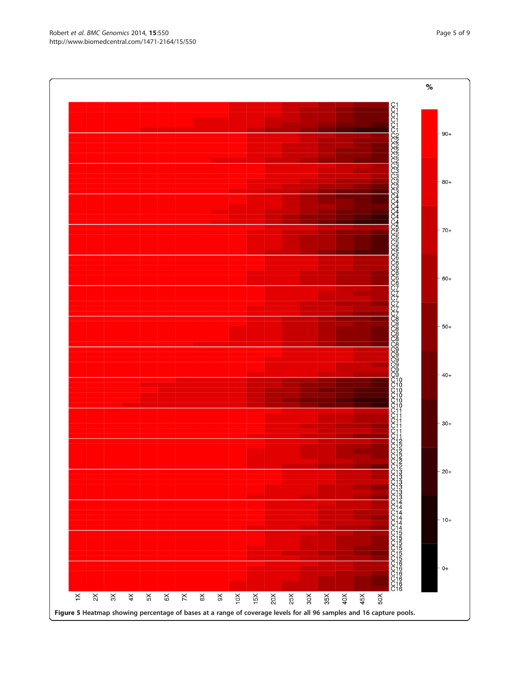<span id="page-4-0"></span>

Figure 5 Heatmap showing percentage of bases at a range of coverage levels for all 96 samples and 16 capture pools.

 $\%$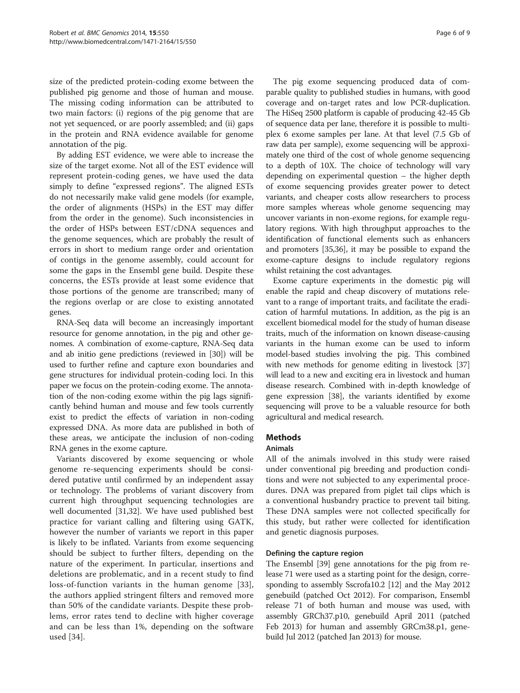<span id="page-5-0"></span>size of the predicted protein-coding exome between the published pig genome and those of human and mouse. The missing coding information can be attributed to two main factors: (i) regions of the pig genome that are not yet sequenced, or are poorly assembled; and (ii) gaps in the protein and RNA evidence available for genome annotation of the pig.

By adding EST evidence, we were able to increase the size of the target exome. Not all of the EST evidence will represent protein-coding genes, we have used the data simply to define "expressed regions". The aligned ESTs do not necessarily make valid gene models (for example, the order of alignments (HSPs) in the EST may differ from the order in the genome). Such inconsistencies in the order of HSPs between EST/cDNA sequences and the genome sequences, which are probably the result of errors in short to medium range order and orientation of contigs in the genome assembly, could account for some the gaps in the Ensembl gene build. Despite these concerns, the ESTs provide at least some evidence that those portions of the genome are transcribed; many of the regions overlap or are close to existing annotated genes.

RNA-Seq data will become an increasingly important resource for genome annotation, in the pig and other genomes. A combination of exome-capture, RNA-Seq data and ab initio gene predictions (reviewed in [[30\]](#page-8-0)) will be used to further refine and capture exon boundaries and gene structures for individual protein-coding loci. In this paper we focus on the protein-coding exome. The annotation of the non-coding exome within the pig lags significantly behind human and mouse and few tools currently exist to predict the effects of variation in non-coding expressed DNA. As more data are published in both of these areas, we anticipate the inclusion of non-coding RNA genes in the exome capture.

Variants discovered by exome sequencing or whole genome re-sequencing experiments should be considered putative until confirmed by an independent assay or technology. The problems of variant discovery from current high throughput sequencing technologies are well documented [\[31,32](#page-8-0)]. We have used published best practice for variant calling and filtering using GATK, however the number of variants we report in this paper is likely to be inflated. Variants from exome sequencing should be subject to further filters, depending on the nature of the experiment. In particular, insertions and deletions are problematic, and in a recent study to find loss-of-function variants in the human genome [[33](#page-8-0)], the authors applied stringent filters and removed more than 50% of the candidate variants. Despite these problems, error rates tend to decline with higher coverage and can be less than 1%, depending on the software used [[34\]](#page-8-0).

The pig exome sequencing produced data of comparable quality to published studies in humans, with good coverage and on-target rates and low PCR-duplication. The HiSeq 2500 platform is capable of producing 42-45 Gb of sequence data per lane, therefore it is possible to multiplex 6 exome samples per lane. At that level (7.5 Gb of raw data per sample), exome sequencing will be approximately one third of the cost of whole genome sequencing to a depth of 10X. The choice of technology will vary depending on experimental question – the higher depth of exome sequencing provides greater power to detect variants, and cheaper costs allow researchers to process more samples whereas whole genome sequencing may uncover variants in non-exome regions, for example regulatory regions. With high throughput approaches to the identification of functional elements such as enhancers and promoters [[35](#page-8-0),[36](#page-8-0)], it may be possible to expand the exome-capture designs to include regulatory regions whilst retaining the cost advantages.

Exome capture experiments in the domestic pig will enable the rapid and cheap discovery of mutations relevant to a range of important traits, and facilitate the eradication of harmful mutations. In addition, as the pig is an excellent biomedical model for the study of human disease traits, much of the information on known disease-causing variants in the human exome can be used to inform model-based studies involving the pig. This combined with new methods for genome editing in livestock [[37](#page-8-0)] will lead to a new and exciting era in livestock and human disease research. Combined with in-depth knowledge of gene expression [\[38](#page-8-0)], the variants identified by exome sequencing will prove to be a valuable resource for both agricultural and medical research.

# Methods

# Animals

All of the animals involved in this study were raised under conventional pig breeding and production conditions and were not subjected to any experimental procedures. DNA was prepared from piglet tail clips which is a conventional husbandry practice to prevent tail biting. These DNA samples were not collected specifically for this study, but rather were collected for identification and genetic diagnosis purposes.

#### Defining the capture region

The Ensembl [[39](#page-8-0)] gene annotations for the pig from release 71 were used as a starting point for the design, corresponding to assembly Sscrofa10.2 [[12](#page-8-0)] and the May 2012 genebuild (patched Oct 2012). For comparison, Ensembl release 71 of both human and mouse was used, with assembly GRCh37.p10, genebuild April 2011 (patched Feb 2013) for human and assembly GRCm38.p1, genebuild Jul 2012 (patched Jan 2013) for mouse.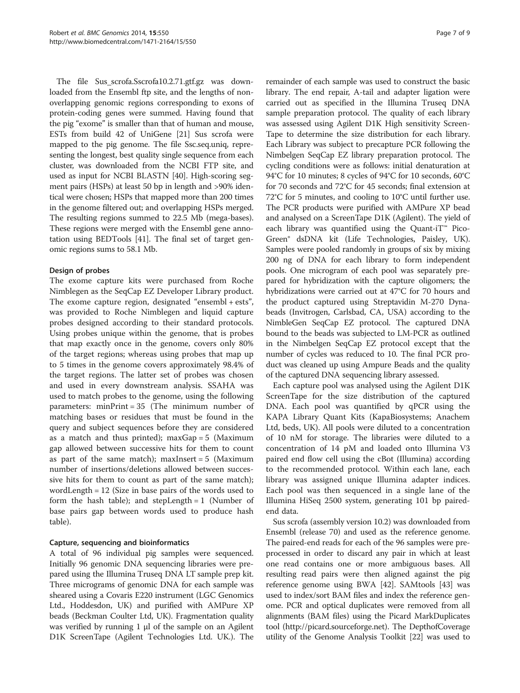The file Sus\_scrofa.Sscrofa10.2.71.gtf.gz was downloaded from the Ensembl ftp site, and the lengths of nonoverlapping genomic regions corresponding to exons of protein-coding genes were summed. Having found that the pig "exome" is smaller than that of human and mouse, ESTs from build 42 of UniGene [\[21\]](#page-8-0) Sus scrofa were mapped to the pig genome. The file Ssc.seq.uniq, representing the longest, best quality single sequence from each cluster, was downloaded from the NCBI FTP site, and used as input for NCBI BLASTN [\[40\]](#page-8-0). High-scoring segment pairs (HSPs) at least 50 bp in length and >90% identical were chosen; HSPs that mapped more than 200 times in the genome filtered out; and overlapping HSPs merged. The resulting regions summed to 22.5 Mb (mega-bases). These regions were merged with the Ensembl gene annotation using BEDTools [[41](#page-8-0)]. The final set of target genomic regions sums to 58.1 Mb.

#### Design of probes

The exome capture kits were purchased from Roche Nimblegen as the SeqCap EZ Developer Library product. The exome capture region, designated "ensembl + ests", was provided to Roche Nimblegen and liquid capture probes designed according to their standard protocols. Using probes unique within the genome, that is probes that map exactly once in the genome, covers only 80% of the target regions; whereas using probes that map up to 5 times in the genome covers approximately 98.4% of the target regions. The latter set of probes was chosen and used in every downstream analysis. SSAHA was used to match probes to the genome, using the following parameters: minPrint = 35 (The minimum number of matching bases or residues that must be found in the query and subject sequences before they are considered as a match and thus printed); maxGap =  $5$  (Maximum gap allowed between successive hits for them to count as part of the same match); maxInsert  $= 5$  (Maximum number of insertions/deletions allowed between successive hits for them to count as part of the same match); wordLength = 12 (Size in base pairs of the words used to form the hash table); and stepLength  $= 1$  (Number of base pairs gap between words used to produce hash table).

# Capture, sequencing and bioinformatics

A total of 96 individual pig samples were sequenced. Initially 96 genomic DNA sequencing libraries were prepared using the Illumina Truseq DNA LT sample prep kit. Three micrograms of genomic DNA for each sample was sheared using a Covaris E220 instrument (LGC Genomics Ltd., Hoddesdon, UK) and purified with AMPure XP beads (Beckman Coulter Ltd, UK). Fragmentation quality was verified by running 1 μl of the sample on an Agilent D1K ScreenTape (Agilent Technologies Ltd. UK.). The

remainder of each sample was used to construct the basic library. The end repair, A-tail and adapter ligation were carried out as specified in the Illumina Truseq DNA sample preparation protocol. The quality of each library was assessed using Agilent D1K High sensitivity Screen-Tape to determine the size distribution for each library. Each Library was subject to precapture PCR following the Nimbelgen SeqCap EZ library preparation protocol. The cycling conditions were as follows: initial denaturation at 94°C for 10 minutes; 8 cycles of 94°C for 10 seconds, 60°C for 70 seconds and 72°C for 45 seconds; final extension at 72°C for 5 minutes, and cooling to 10°C until further use. The PCR products were purified with AMPure XP bead and analysed on a ScreenTape D1K (Agilent). The yield of each library was quantified using the Quant-i $T^{\prime\prime}$  Pico-Green® dsDNA kit (Life Technologies, Paisley, UK). Samples were pooled randomly in groups of six by mixing 200 ng of DNA for each library to form independent pools. One microgram of each pool was separately prepared for hybridization with the capture oligomers; the hybridizations were carried out at 47°C for 70 hours and the product captured using Streptavidin M-270 Dynabeads (Invitrogen, Carlsbad, CA, USA) according to the NimbleGen SeqCap EZ protocol. The captured DNA bound to the beads was subjected to LM-PCR as outlined in the Nimbelgen SeqCap EZ protocol except that the number of cycles was reduced to 10. The final PCR product was cleaned up using Ampure Beads and the quality of the captured DNA sequencing library assessed.

Each capture pool was analysed using the Agilent D1K ScreenTape for the size distribution of the captured DNA. Each pool was quantified by qPCR using the KAPA Library Quant Kits (KapaBiosystems; Anachem Ltd, beds, UK). All pools were diluted to a concentration of 10 nM for storage. The libraries were diluted to a concentration of 14 pM and loaded onto Illumina V3 paired end flow cell using the cBot (Illumina) according to the recommended protocol. Within each lane, each library was assigned unique Illumina adapter indices. Each pool was then sequenced in a single lane of the Illumina HiSeq 2500 system, generating 101 bp pairedend data.

Sus scrofa (assembly version 10.2) was downloaded from Ensembl (release 70) and used as the reference genome. The paired-end reads for each of the 96 samples were preprocessed in order to discard any pair in which at least one read contains one or more ambiguous bases. All resulting read pairs were then aligned against the pig reference genome using BWA [[42](#page-8-0)]. SAMtools [\[43\]](#page-8-0) was used to index/sort BAM files and index the reference genome. PCR and optical duplicates were removed from all alignments (BAM files) using the Picard MarkDuplicates tool ([http://picard.sourceforge.net\)](http://picard.sourceforge.net). The DepthofCoverage utility of the Genome Analysis Toolkit [\[22\]](#page-8-0) was used to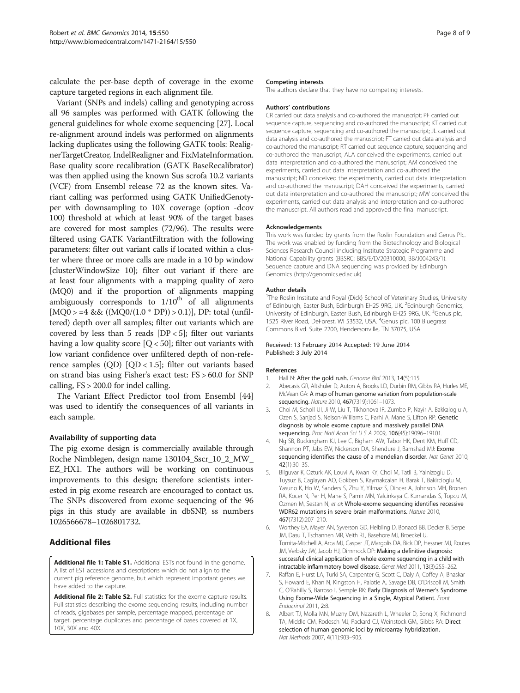<span id="page-7-0"></span>calculate the per-base depth of coverage in the exome capture targeted regions in each alignment file.

Variant (SNPs and indels) calling and genotyping across all 96 samples was performed with GATK following the general guidelines for whole exome sequencing [\[27](#page-8-0)]. Local re-alignment around indels was performed on alignments lacking duplicates using the following GATK tools: RealignerTargetCreator, IndelRealigner and FixMateInformation. Base quality score recalibration (GATK BaseRecalibrator) was then applied using the known Sus scrofa 10.2 variants (VCF) from Ensembl release 72 as the known sites. Variant calling was performed using GATK UnifiedGenotyper with downsampling to 10X coverage (option -dcov 100) threshold at which at least 90% of the target bases are covered for most samples (72/96). The results were filtered using GATK VariantFiltration with the following parameters: filter out variant calls if located within a cluster where three or more calls are made in a 10 bp window [clusterWindowSize 10]; filter out variant if there are at least four alignments with a mapping quality of zero (MQ0) and if the proportion of alignments mapping ambiguously corresponds to  $1/10^{th}$  of all alignments  $[MQ0 > = 4 \&\& ((MQ0/(1.0 * DP)) > 0.1)], DP: total (unfil$ tered) depth over all samples; filter out variants which are covered by less than 5 reads  $[DP < 5]$ ; filter out variants having a low quality score  $[Q < 50]$ ; filter out variants with low variant confidence over unfiltered depth of non-reference samples  $(QD)$   $[QD < 1.5]$ ; filter out variants based on strand bias using Fisher's exact test: FS > 60.0 for SNP calling, FS > 200.0 for indel calling.

The Variant Effect Predictor tool from Ensembl [[44](#page-8-0)] was used to identify the consequences of all variants in each sample.

#### Availability of supporting data

The pig exome design is commercially available through Roche Nimblegen, design name 130104\_Sscr\_10\_2\_MW\_ EZ\_HX1. The authors will be working on continuous improvements to this design; therefore scientists interested in pig exome research are encouraged to contact us. The SNPs discovered from exome sequencing of the 96 pigs in this study are available in dbSNP, ss numbers 1026566678–1026801732.

# Additional files

[Additional file 1: Table S1.](http://www.biomedcentral.com/content/supplementary/1471-2164-15-550-S1.xlsx) Additional ESTs not found in the genome. A list of EST accessions and descriptions which do not align to the current pig reference genome, but which represent important genes we have added to the capture.

[Additional file 2: Table S2.](http://www.biomedcentral.com/content/supplementary/1471-2164-15-550-S2.xlsx) Full statistics for the exome capture results. Full statistics describing the exome sequencing results, including number of reads, gigabases per sample, percentage mapped, percentage on target, percentage duplicates and percentage of bases covered at 1X, 10X, 30X and 40X.

#### Competing interests

The authors declare that they have no competing interests.

#### Authors' contributions

CR carried out data analysis and co-authored the manuscript; PF carried out sequence capture, sequencing and co-authored the manuscript; KT carried out sequence capture, sequencing and co-authored the manuscript; JL carried out data analysis and co-authored the manuscript; FT carried out data analysis and co-authored the manuscript; RT carried out sequence capture, sequencing and co-authored the manuscript; ALA conceived the experiments, carried out data interpretation and co-authored the manuscript; AM conceived the experiments, carried out data interpretation and co-authored the manuscript; ND conceived the experiments, carried out data interpretation and co-authored the manuscript; DAH conceived the experiments, carried out data interpretation and co-authored the manuscript; MW conceived the experiments, carried out data analysis and interpretation and co-authored the manuscript. All authors read and approved the final manuscript.

#### Acknowledgements

This work was funded by grants from the Roslin Foundation and Genus Plc. The work was enabled by funding from the Biotechnology and Biological Sciences Research Council including Institute Strategic Programme and National Capability grants (BBSRC; BBS/E/D/20310000, BB/J004243/1). Sequence capture and DNA sequencing was provided by Edinburgh Genomics (<http://genomics.ed.ac.uk>)

#### Author details

<sup>1</sup>The Roslin Institute and Royal (Dick) School of Veterinary Studies, University of Edinburgh, Easter Bush, Edinburgh EH25 9RG, UK. <sup>2</sup>Edinburgh Genomics, University of Edinburgh, Easter Bush, Edinburgh EH25 9RG, UK. <sup>3</sup>Genus plc, 1525 River Road, DeForest, WI 53532, USA. <sup>4</sup>Genus plc, 100 Bluegrass Commons Blvd. Suite 2200, Hendersonville, TN 37075, USA.

#### Received: 13 February 2014 Accepted: 19 June 2014 Published: 3 July 2014

#### References

- Hall N: After the gold rush. Genome Biol 2013, 14(5):115.
- 2. Abecasis GR, Altshuler D, Auton A, Brooks LD, Durbin RM, Gibbs RA, Hurles ME, McVean GA: A map of human genome variation from population-scale sequencing. Nature 2010, 467(7319):1061–1073.
- 3. Choi M, Scholl UI, Ji W, Liu T, Tikhonova IR, Zumbo P, Nayir A, Bakkaloglu A, Ozen S, Sanjad S, Nelson-Williams C, Farhi A, Mane S, Lifton RP: Genetic diagnosis by whole exome capture and massively parallel DNA sequencing. Proc Natl Acad Sci U S A 2009, 106(45):19096–19101.
- Ng SB, Buckingham KJ, Lee C, Bigham AW, Tabor HK, Dent KM, Huff CD, Shannon PT, Jabs EW, Nickerson DA, Shendure J, Bamshad MJ: Exome sequencing identifies the cause of a mendelian disorder. Nat Genet 2010, 42(1):30–35.
- 5. Bilguvar K, Ozturk AK, Louvi A, Kwan KY, Choi M, Tatli B, Yalnizoglu D, Tuysuz B, Caglayan AO, Gokben S, Kaymakcalan H, Barak T, Bakircioglu M, Yasuno K, Ho W, Sanders S, Zhu Y, Yilmaz S, Dincer A, Johnson MH, Bronen RA, Kocer N, Per H, Mane S, Pamir MN, Yalcinkaya C, Kumandas S, Topcu M, Ozmen M, Sestan N, et al: Whole-exome sequencing identifies recessive WDR62 mutations in severe brain malformations. Nature 2010, 467(7312):207–210.
- 6. Worthey EA, Mayer AN, Syverson GD, Helbling D, Bonacci BB, Decker B, Serpe JM, Dasu T, Tschannen MR, Veith RL, Basehore MJ, Broeckel U, Tomita-Mitchell A, Arca MJ, Casper JT, Margolis DA, Bick DP, Hessner MJ, Routes JM, Verbsky JW, Jacob HJ, Dimmock DP: Making a definitive diagnosis: successful clinical application of whole exome sequencing in a child with intractable inflammatory bowel disease. Genet Med 2011, 13(3):255–262.
- 7. Raffan E, Hurst LA, Turki SA, Carpenter G, Scott C, Daly A, Coffey A, Bhaskar S, Howard E, Khan N, Kingston H, Palotie A, Savage DB, O'Driscoll M, Smith C, O'Rahilly S, Barroso I, Semple RK: Early Diagnosis of Werner's Syndrome Using Exome-Wide Sequencing in a Single, Atypical Patient. Front Endocrinol 2011, 2:8.
- Albert TJ, Molla MN, Muzny DM, Nazareth L, Wheeler D, Song X, Richmond TA, Middle CM, Rodesch MJ, Packard CJ, Weinstock GM, Gibbs RA: Direct selection of human genomic loci by microarray hybridization. Nat Methods 2007, 4(11):903–905.